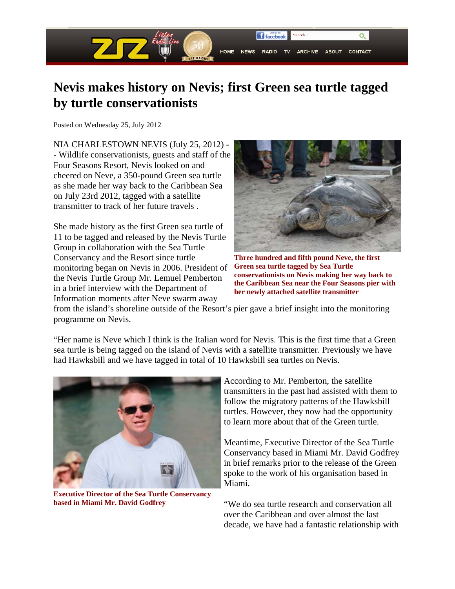

## **Nevis makes history on Nevis; first Green sea turtle tagged by turtle conservationists**

Posted on Wednesday 25, July 2012

NIA CHARLESTOWN NEVIS (July 25, 2012) - - Wildlife conservationists, guests and staff of the Four Seasons Resort, Nevis looked on and cheered on Neve, a 350-pound Green sea turtle as she made her way back to the Caribbean Sea on July 23rd 2012, tagged with a satellite transmitter to track of her future travels .

She made history as the first Green sea turtle of 11 to be tagged and released by the Nevis Turtle Group in collaboration with the Sea Turtle Conservancy and the Resort since turtle monitoring began on Nevis in 2006. President of the Nevis Turtle Group Mr. Lemuel Pemberton in a brief interview with the Department of Information moments after Neve swarm away



**Three hundred and fifth pound Neve, the first Green sea turtle tagged by Sea Turtle conservationists on Nevis making her way back to the Caribbean Sea near the Four Seasons pier with her newly attached satellite transmitter**

from the island's shoreline outside of the Resort's pier gave a brief insight into the monitoring programme on Nevis.

"Her name is Neve which I think is the Italian word for Nevis. This is the first time that a Green sea turtle is being tagged on the island of Nevis with a satellite transmitter. Previously we have had Hawksbill and we have tagged in total of 10 Hawksbill sea turtles on Nevis.



**Executive Director of the Sea Turtle Conservancy based in Miami Mr. David Godfrey**

According to Mr. Pemberton, the satellite transmitters in the past had assisted with them to follow the migratory patterns of the Hawksbill turtles. However, they now had the opportunity to learn more about that of the Green turtle.

Meantime, Executive Director of the Sea Turtle Conservancy based in Miami Mr. David Godfrey in brief remarks prior to the release of the Green spoke to the work of his organisation based in Miami.

"We do sea turtle research and conservation all over the Caribbean and over almost the last decade, we have had a fantastic relationship with